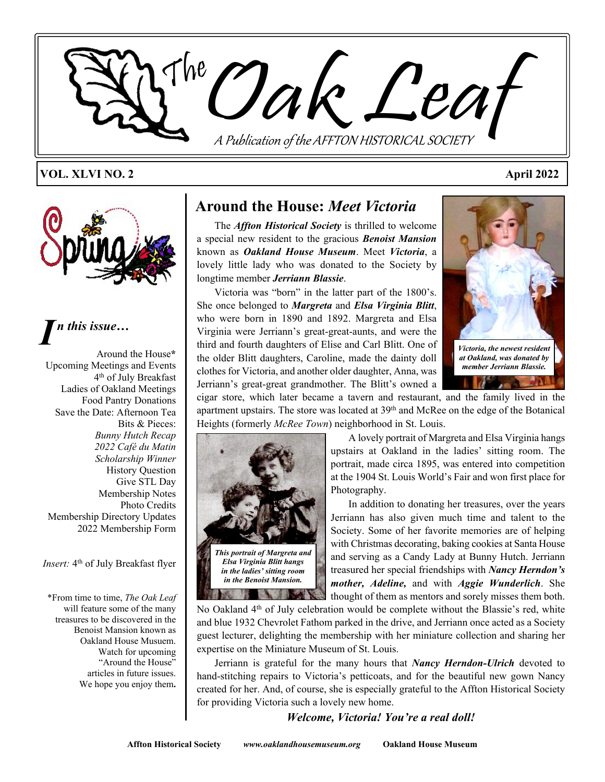

#### **VOL. XLVI NO. 2 April 2022**



*I n this issue…*

Around the House**\*** Upcoming Meetings and Events 4 th of July Breakfast Ladies of Oakland Meetings Food Pantry Donations Save the Date: Afternoon Tea Bits & Pieces: *Bunny Hutch Recap 2022 Café du Matin Scholarship Winner* History Question Give STL Day Membership Notes Photo Credits Membership Directory Updates 2022 Membership Form

Insert: 4<sup>th</sup> of July Breakfast flyer

\*From time to time, *The Oak Leaf* will feature some of the many treasures to be discovered in the Benoist Mansion known as Oakland House Musuem. Watch for upcoming "Around the House" articles in future issues. We hope you enjoy them**.**

#### **Around the House:** *Meet Victoria*

The *Affton Historical Society* is thrilled to welcome a special new resident to the gracious *Benoist Mansion* known as *Oakland House Museum*. Meet *Victoria*, a lovely little lady who was donated to the Society by longtime member *Jerriann Blassie*.

Victoria was "born" in the latter part of the 1800's. She once belonged to *Margreta* and *Elsa Virginia Blitt*, who were born in 1890 and 1892. Margreta and Elsa Virginia were Jerriann's great-great-aunts, and were the third and fourth daughters of Elise and Carl Blitt. One of the older Blitt daughters, Caroline, made the dainty doll clothes for Victoria, and another older daughter, Anna, was Jerriann's great-great grandmother. The Blitt's owned a



cigar store, which later became a tavern and restaurant, and the family lived in the apartment upstairs. The store was located at 39th and McRee on the edge of the Botanical Heights (formerly *McRee Town*) neighborhood in St. Louis.



A lovely portrait of Margreta and Elsa Virginia hangs upstairs at Oakland in the ladies' sitting room. The portrait, made circa 1895, was entered into competition at the 1904 St. Louis World's Fair and won first place for Photography.

In addition to donating her treasures, over the years Jerriann has also given much time and talent to the Society. Some of her favorite memories are of helping with Christmas decorating, baking cookies at Santa House and serving as a Candy Lady at Bunny Hutch. Jerriann treasured her special friendships with *Nancy Herndon's mother, Adeline,* and with *Aggie Wunderlich*. She thought of them as mentors and sorely misses them both.

No Oakland  $4<sup>th</sup>$  of July celebration would be complete without the Blassie's red, white and blue 1932 Chevrolet Fathom parked in the drive, and Jerriann once acted as a Society guest lecturer, delighting the membership with her miniature collection and sharing her expertise on the Miniature Museum of St. Louis.

Jerriann is grateful for the many hours that *Nancy Herndon-Ulrich* devoted to hand-stitching repairs to Victoria's petticoats, and for the beautiful new gown Nancy created for her. And, of course, she is especially grateful to the Affton Historical Society for providing Victoria such a lovely new home.

*Welcome, Victoria! You're a real doll!*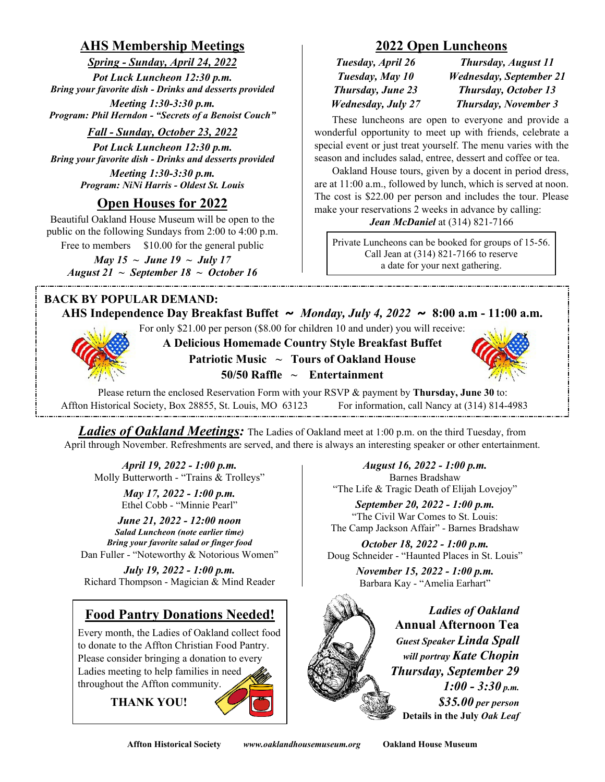# **AHS Membership Meetings**

*Spring - Sunday, April 24, 2022 Pot Luck Luncheon 12:30 p.m. Bring your favorite dish - Drinks and desserts provided*

*Meeting 1:30-3:30 p.m. Program: Phil Herndon - "Secrets of a Benoist Couch"*

#### *Fall - Sunday, October 23, 2022*

*Pot Luck Luncheon 12:30 p.m. Bring your favorite dish - Drinks and desserts provided*

> *Meeting 1:30-3:30 p.m. Program: NiNi Harris - Oldest St. Louis*

# **Open Houses for 2022**

Beautiful Oakland House Museum will be open to the public on the following Sundays from 2:00 to 4:00 p.m. Free to members \$10.00 for the general public

*May 15 ~ June 19 ~ July 17 August 21 ~ September 18 ~ October 16*

#### **BACK BY POPULAR DEMAND:**

# **2022 Open Luncheons**

| Tuesday, April 26         | Thursday, August 11            |  |  |  |  |
|---------------------------|--------------------------------|--|--|--|--|
| Tuesday, May 10           | <b>Wednesday, September 21</b> |  |  |  |  |
| Thursday, June 23         | <b>Thursday, October 13</b>    |  |  |  |  |
| <b>Wednesday, July 27</b> | <b>Thursday, November 3</b>    |  |  |  |  |

These luncheons are open to everyone and provide a wonderful opportunity to meet up with friends, celebrate a special event or just treat yourself. The menu varies with the season and includes salad, entree, dessert and coffee or tea.

 Oakland House tours, given by a docent in period dress, are at 11:00 a.m., followed by lunch, which is served at noon. The cost is \$22.00 per person and includes the tour. Please make your reservations 2 weeks in advance by calling:

#### *Jean McDaniel* at (314) 821-7166

Private Luncheons can be booked for groups of 15-56. Call Jean at (314) 821-7166 to reserve a date for your next gathering.

**AHS Independence Day Breakfast Buffet ~** *Monday, July 4, 2022* **~ 8:00 a.m - 11:00 a.m.**

For only \$21.00 per person (\$8.00 for children 10 and under) you will receive:



**A Delicious Homemade Country Style Breakfast Buffet Patriotic Music ~ Tours of Oakland House 50/50 Raffle ~ Entertainment**



Please return the enclosed Reservation Form with your RSVP & payment by **Thursday, June 30** to: Affton Historical Society, Box 28855, St. Louis, MO 63123 For information, call Nancy at (314) 814-4983

*Ladies of Oakland Meetings:* The Ladies of Oakland meet at 1:00 p.m. on the third Tuesday, from April through November. Refreshments are served, and there is always an interesting speaker or other entertainment.

*April 19, 2022 - 1:00 p.m.* Molly Butterworth - "Trains & Trolleys"

*May 17, 2022 - 1:00 p.m.* Ethel Cobb - "Minnie Pearl"

*June 21, 2022 - 12:00 noon Salad Luncheon (note earlier time) Bring your favorite salad or finger food* Dan Fuller - "Noteworthy & Notorious Women"

*July 19, 2022 - 1:00 p.m.* Richard Thompson - Magician & Mind Reader

# **Food Pantry Donations Needed!**

Every month, the Ladies of Oakland collect food to donate to the Affton Christian Food Pantry. Please consider bringing a donation to every Ladies meeting to help families in need throughout the Affton community.

 **THANK YOU!**

*August 16, 2022 - 1:00 p.m.* Barnes Bradshaw "The Life & Tragic Death of Elijah Lovejoy"

*September 20, 2022 - 1:00 p.m.* "The Civil War Comes to St. Louis: The Camp Jackson Affair" - Barnes Bradshaw

*October 18, 2022 - 1:00 p.m.* Doug Schneider - "Haunted Places in St. Louis"

> *November 15, 2022 - 1:00 p.m.* Barbara Kay - "Amelia Earhart"

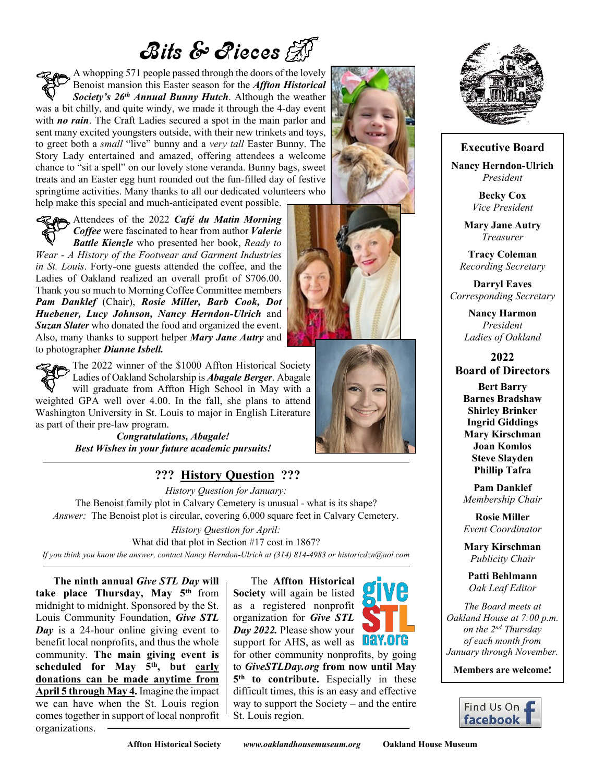# Bits & Rieces

A whopping 571 people passed through the doors of the lovely Benoist mansion this Easter season for the *Affton Historical Society's 26th Annual Bunny Hutch*. Although the weather was a bit chilly, and quite windy, we made it through the 4-day event with *no rain*. The Craft Ladies secured a spot in the main parlor and sent many excited youngsters outside, with their new trinkets and toys, to greet both a *small* "live" bunny and a *very tall* Easter Bunny. The Story Lady entertained and amazed, offering attendees a welcome chance to "sit a spell" on our lovely stone veranda. Bunny bags, sweet treats and an Easter egg hunt rounded out the fun-filled day of festive springtime activities. Many thanks to all our dedicated volunteers who help make this special and much-anticipated event possible.

Attendees of the 2022 *Café du Matin Morning Coffee* were fascinated to hear from author *Valerie Battle Kienzle* who presented her book, *Ready to Wear - A History of the Footwear and Garment Industries in St. Louis*. Forty-one guests attended the coffee, and the Ladies of Oakland realized an overall profit of \$706.00. Thank you so much to Morning Coffee Committee members *Pam Danklef* (Chair), *Rosie Miller, Barb Cook, Dot Huebener, Lucy Johnson, Nancy Herndon-Ulrich* and *Suzan Slater* who donated the food and organized the event. Also, many thanks to support helper *Mary Jane Autry* and to photographer *Dianne Isbell.*

The 2022 winner of the \$1000 Affton Historical Society Ladies of Oakland Scholarship is *Abagale Berger*. Abagale will graduate from Affton High School in May with a weighted GPA well over 4.00. In the fall, she plans to attend Washington University in St. Louis to major in English Literature as part of their pre-law program.

*Congratulations, Abagale! Best Wishes in your future academic pursuits!*

# **??? History Question ???**

*History Question for January:* The Benoist family plot in Calvary Cemetery is unusual - what is its shape? *Answer:* The Benoist plot is circular, covering 6,000 square feet in Calvary Cemetery.

*History Question for April:* What did that plot in Section #17 cost in 1867? *If you think you know the answer, contact Nancy Herndon-Ulrich at (314) 814-4983 or historicdzn@aol.com*

**The ninth annual** *Give STL Day* **will take place Thursday, May 5th** from midnight to midnight. Sponsored by the St. Louis Community Foundation, *Give STL Day* is a 24-hour online giving event to benefit local nonprofits, and thus the whole community. **The main giving event is scheduled for May 5th, but early donations can be made anytime from April 5 through May 4.** Imagine the impact we can have when the St. Louis region comes together in support of local nonprofit organizations.

The **Affton Historical Society** will again be listed as a registered nonprofit organization for *Give STL Day 2022.* Please show your Day.org support for AHS, as well as for other community nonprofits, by going to *GiveSTLDay.org* **from now until May 5 th to contribute.** Especially in these difficult times, this is an easy and effective way to support the Society – and the entire St. Louis region.







#### **Executive Board**

**Nancy Herndon-Ulrich** *President*

> **Becky Cox** *Vice President*

**Mary Jane Autry** *Treasurer*

**Tracy Coleman** *Recording Secretary*

**Darryl Eaves** *Corresponding Secretary*

> **Nancy Harmon** *President Ladies of Oakland*

**2022 Board of Directors**

**Bert Barry Barnes Bradshaw Shirley Brinker Ingrid Giddings Mary Kirschman Joan Komlos Steve Slayden Phillip Tafra**

**Pam Danklef** *Membership Chair*

**Rosie Miller** *Event Coordinator*

**Mary Kirschman** *Publicity Chair*

**Patti Behlmann** *Oak Leaf Editor*

*The Board meets at Oakland House at 7:00 p.m. on the 2nd Thursday of each month from January through November.*

**Members are welcome!**



**Affton Historical Society** *www.oaklandhousemuseum.org* **Oakland House Museum**